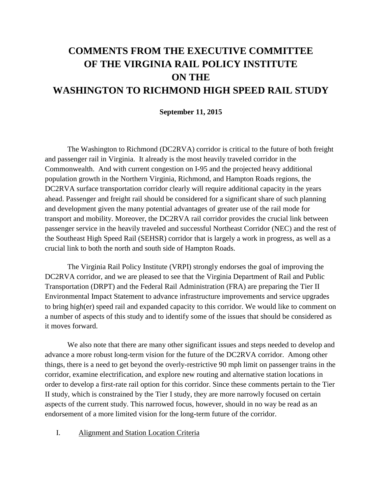# **COMMENTS FROM THE EXECUTIVE COMMITTEE OF THE VIRGINIA RAIL POLICY INSTITUTE ON THE WASHINGTON TO RICHMOND HIGH SPEED RAIL STUDY**

#### **September 11, 2015**

The Washington to Richmond (DC2RVA) corridor is critical to the future of both freight and passenger rail in Virginia. It already is the most heavily traveled corridor in the Commonwealth. And with current congestion on I-95 and the projected heavy additional population growth in the Northern Virginia, Richmond, and Hampton Roads regions, the DC2RVA surface transportation corridor clearly will require additional capacity in the years ahead. Passenger and freight rail should be considered for a significant share of such planning and development given the many potential advantages of greater use of the rail mode for transport and mobility. Moreover, the DC2RVA rail corridor provides the crucial link between passenger service in the heavily traveled and successful Northeast Corridor (NEC) and the rest of the Southeast High Speed Rail (SEHSR) corridor that is largely a work in progress, as well as a crucial link to both the north and south side of Hampton Roads.

The Virginia Rail Policy Institute (VRPI) strongly endorses the goal of improving the DC2RVA corridor, and we are pleased to see that the Virginia Department of Rail and Public Transportation (DRPT) and the Federal Rail Administration (FRA) are preparing the Tier II Environmental Impact Statement to advance infrastructure improvements and service upgrades to bring high(er) speed rail and expanded capacity to this corridor. We would like to comment on a number of aspects of this study and to identify some of the issues that should be considered as it moves forward.

We also note that there are many other significant issues and steps needed to develop and advance a more robust long-term vision for the future of the DC2RVA corridor. Among other things, there is a need to get beyond the overly-restrictive 90 mph limit on passenger trains in the corridor, examine electrification, and explore new routing and alternative station locations in order to develop a first-rate rail option for this corridor. Since these comments pertain to the Tier II study, which is constrained by the Tier I study, they are more narrowly focused on certain aspects of the current study. This narrowed focus, however, should in no way be read as an endorsement of a more limited vision for the long-term future of the corridor.

## I. Alignment and Station Location Criteria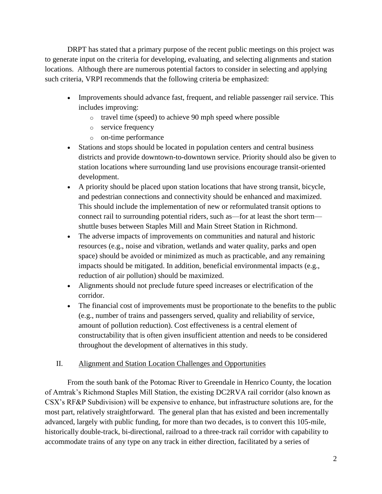DRPT has stated that a primary purpose of the recent public meetings on this project was to generate input on the criteria for developing, evaluating, and selecting alignments and station locations. Although there are numerous potential factors to consider in selecting and applying such criteria, VRPI recommends that the following criteria be emphasized:

- Improvements should advance fast, frequent, and reliable passenger rail service. This includes improving:
	- o travel time (speed) to achieve 90 mph speed where possible
	- o service frequency
	- o on-time performance
- Stations and stops should be located in population centers and central business districts and provide downtown-to-downtown service. Priority should also be given to station locations where surrounding land use provisions encourage transit-oriented development.
- A priority should be placed upon station locations that have strong transit, bicycle, and pedestrian connections and connectivity should be enhanced and maximized. This should include the implementation of new or reformulated transit options to connect rail to surrounding potential riders, such as—for at least the short term shuttle buses between Staples Mill and Main Street Station in Richmond.
- The adverse impacts of improvements on communities and natural and historic resources (e.g., noise and vibration, wetlands and water quality, parks and open space) should be avoided or minimized as much as practicable, and any remaining impacts should be mitigated. In addition, beneficial environmental impacts (e.g., reduction of air pollution) should be maximized.
- Alignments should not preclude future speed increases or electrification of the corridor.
- The financial cost of improvements must be proportionate to the benefits to the public (e.g., number of trains and passengers served, quality and reliability of service, amount of pollution reduction). Cost effectiveness is a central element of constructability that is often given insufficient attention and needs to be considered throughout the development of alternatives in this study.

## II. Alignment and Station Location Challenges and Opportunities

From the south bank of the Potomac River to Greendale in Henrico County, the location of Amtrak's Richmond Staples Mill Station, the existing DC2RVA rail corridor (also known as CSX's RF&P Subdivision) will be expensive to enhance, but infrastructure solutions are, for the most part, relatively straightforward. The general plan that has existed and been incrementally advanced, largely with public funding, for more than two decades, is to convert this 105-mile, historically double-track, bi-directional, railroad to a three-track rail corridor with capability to accommodate trains of any type on any track in either direction, facilitated by a series of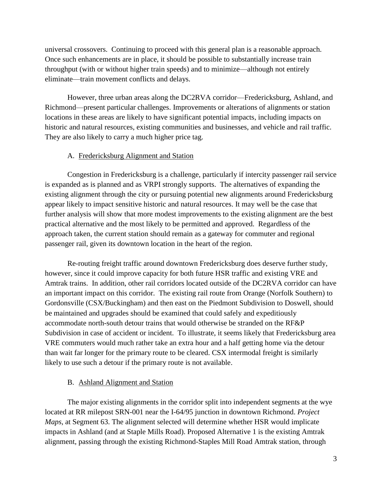universal crossovers. Continuing to proceed with this general plan is a reasonable approach. Once such enhancements are in place, it should be possible to substantially increase train throughput (with or without higher train speeds) and to minimize—although not entirely eliminate—train movement conflicts and delays.

However, three urban areas along the DC2RVA corridor—Fredericksburg, Ashland, and Richmond—present particular challenges. Improvements or alterations of alignments or station locations in these areas are likely to have significant potential impacts, including impacts on historic and natural resources, existing communities and businesses, and vehicle and rail traffic. They are also likely to carry a much higher price tag.

#### A. Fredericksburg Alignment and Station

Congestion in Fredericksburg is a challenge, particularly if intercity passenger rail service is expanded as is planned and as VRPI strongly supports. The alternatives of expanding the existing alignment through the city or pursuing potential new alignments around Fredericksburg appear likely to impact sensitive historic and natural resources. It may well be the case that further analysis will show that more modest improvements to the existing alignment are the best practical alternative and the most likely to be permitted and approved. Regardless of the approach taken, the current station should remain as a gateway for commuter and regional passenger rail, given its downtown location in the heart of the region.

Re-routing freight traffic around downtown Fredericksburg does deserve further study, however, since it could improve capacity for both future HSR traffic and existing VRE and Amtrak trains. In addition, other rail corridors located outside of the DC2RVA corridor can have an important impact on this corridor. The existing rail route from Orange (Norfolk Southern) to Gordonsville (CSX/Buckingham) and then east on the Piedmont Subdivision to Doswell, should be maintained and upgrades should be examined that could safely and expeditiously accommodate north-south detour trains that would otherwise be stranded on the RF&P Subdivision in case of accident or incident. To illustrate, it seems likely that Fredericksburg area VRE commuters would much rather take an extra hour and a half getting home via the detour than wait far longer for the primary route to be cleared. CSX intermodal freight is similarly likely to use such a detour if the primary route is not available.

#### B. Ashland Alignment and Station

The major existing alignments in the corridor split into independent segments at the wye located at RR milepost SRN-001 near the I-64/95 junction in downtown Richmond. *Project Maps*, at Segment 63. The alignment selected will determine whether HSR would implicate impacts in Ashland (and at Staple Mills Road). Proposed Alternative 1 is the existing Amtrak alignment, passing through the existing Richmond-Staples Mill Road Amtrak station, through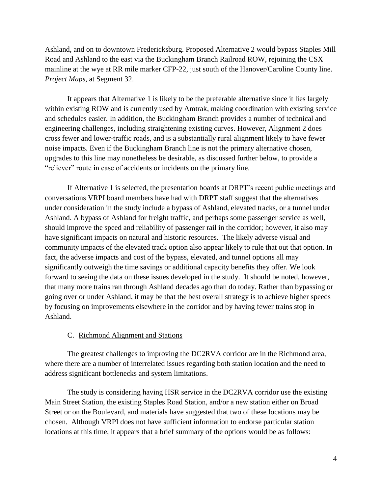Ashland, and on to downtown Fredericksburg. Proposed Alternative 2 would bypass Staples Mill Road and Ashland to the east via the Buckingham Branch Railroad ROW, rejoining the CSX mainline at the wye at RR mile marker CFP-22, just south of the Hanover/Caroline County line. *Project Maps*, at Segment 32.

It appears that Alternative 1 is likely to be the preferable alternative since it lies largely within existing ROW and is currently used by Amtrak, making coordination with existing service and schedules easier. In addition, the Buckingham Branch provides a number of technical and engineering challenges, including straightening existing curves. However, Alignment 2 does cross fewer and lower-traffic roads, and is a substantially rural alignment likely to have fewer noise impacts. Even if the Buckingham Branch line is not the primary alternative chosen, upgrades to this line may nonetheless be desirable, as discussed further below, to provide a "reliever" route in case of accidents or incidents on the primary line.

If Alternative 1 is selected, the presentation boards at DRPT's recent public meetings and conversations VRPI board members have had with DRPT staff suggest that the alternatives under consideration in the study include a bypass of Ashland, elevated tracks, or a tunnel under Ashland. A bypass of Ashland for freight traffic, and perhaps some passenger service as well, should improve the speed and reliability of passenger rail in the corridor; however, it also may have significant impacts on natural and historic resources. The likely adverse visual and community impacts of the elevated track option also appear likely to rule that out that option. In fact, the adverse impacts and cost of the bypass, elevated, and tunnel options all may significantly outweigh the time savings or additional capacity benefits they offer. We look forward to seeing the data on these issues developed in the study. It should be noted, however, that many more trains ran through Ashland decades ago than do today. Rather than bypassing or going over or under Ashland, it may be that the best overall strategy is to achieve higher speeds by focusing on improvements elsewhere in the corridor and by having fewer trains stop in Ashland.

#### C. Richmond Alignment and Stations

The greatest challenges to improving the DC2RVA corridor are in the Richmond area, where there are a number of interrelated issues regarding both station location and the need to address significant bottlenecks and system limitations.

The study is considering having HSR service in the DC2RVA corridor use the existing Main Street Station, the existing Staples Road Station, and/or a new station either on Broad Street or on the Boulevard, and materials have suggested that two of these locations may be chosen. Although VRPI does not have sufficient information to endorse particular station locations at this time, it appears that a brief summary of the options would be as follows: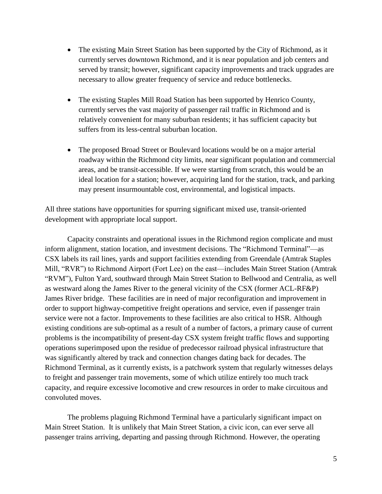- The existing Main Street Station has been supported by the City of Richmond, as it currently serves downtown Richmond, and it is near population and job centers and served by transit; however, significant capacity improvements and track upgrades are necessary to allow greater frequency of service and reduce bottlenecks.
- The existing Staples Mill Road Station has been supported by Henrico County, currently serves the vast majority of passenger rail traffic in Richmond and is relatively convenient for many suburban residents; it has sufficient capacity but suffers from its less-central suburban location.
- The proposed Broad Street or Boulevard locations would be on a major arterial roadway within the Richmond city limits, near significant population and commercial areas, and be transit-accessible. If we were starting from scratch, this would be an ideal location for a station; however, acquiring land for the station, track, and parking may present insurmountable cost, environmental, and logistical impacts.

All three stations have opportunities for spurring significant mixed use, transit-oriented development with appropriate local support.

Capacity constraints and operational issues in the Richmond region complicate and must inform alignment, station location, and investment decisions. The "Richmond Terminal"—as CSX labels its rail lines, yards and support facilities extending from Greendale (Amtrak Staples Mill, "RVR") to Richmond Airport (Fort Lee) on the east—includes Main Street Station (Amtrak "RVM"), Fulton Yard, southward through Main Street Station to Bellwood and Centralia, as well as westward along the James River to the general vicinity of the CSX (former ACL-RF&P) James River bridge. These facilities are in need of major reconfiguration and improvement in order to support highway-competitive freight operations and service, even if passenger train service were not a factor. Improvements to these facilities are also critical to HSR. Although existing conditions are sub-optimal as a result of a number of factors, a primary cause of current problems is the incompatibility of present-day CSX system freight traffic flows and supporting operations superimposed upon the residue of predecessor railroad physical infrastructure that was significantly altered by track and connection changes dating back for decades. The Richmond Terminal, as it currently exists, is a patchwork system that regularly witnesses delays to freight and passenger train movements, some of which utilize entirely too much track capacity, and require excessive locomotive and crew resources in order to make circuitous and convoluted moves.

The problems plaguing Richmond Terminal have a particularly significant impact on Main Street Station. It is unlikely that Main Street Station, a civic icon, can ever serve all passenger trains arriving, departing and passing through Richmond. However, the operating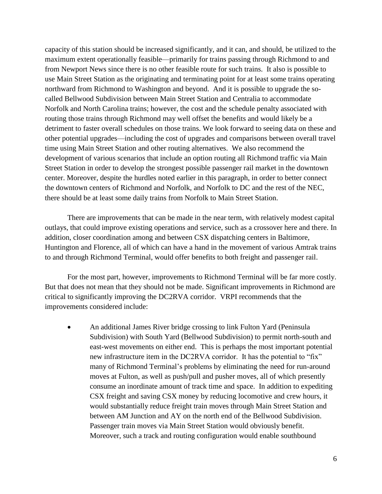capacity of this station should be increased significantly, and it can, and should, be utilized to the maximum extent operationally feasible—primarily for trains passing through Richmond to and from Newport News since there is no other feasible route for such trains. It also is possible to use Main Street Station as the originating and terminating point for at least some trains operating northward from Richmond to Washington and beyond. And it is possible to upgrade the socalled Bellwood Subdivision between Main Street Station and Centralia to accommodate Norfolk and North Carolina trains; however, the cost and the schedule penalty associated with routing those trains through Richmond may well offset the benefits and would likely be a detriment to faster overall schedules on those trains. We look forward to seeing data on these and other potential upgrades—including the cost of upgrades and comparisons between overall travel time using Main Street Station and other routing alternatives. We also recommend the development of various scenarios that include an option routing all Richmond traffic via Main Street Station in order to develop the strongest possible passenger rail market in the downtown center. Moreover, despite the hurdles noted earlier in this paragraph, in order to better connect the downtown centers of Richmond and Norfolk, and Norfolk to DC and the rest of the NEC, there should be at least some daily trains from Norfolk to Main Street Station.

There are improvements that can be made in the near term, with relatively modest capital outlays, that could improve existing operations and service, such as a crossover here and there. In addition, closer coordination among and between CSX dispatching centers in Baltimore, Huntington and Florence, all of which can have a hand in the movement of various Amtrak trains to and through Richmond Terminal, would offer benefits to both freight and passenger rail.

For the most part, however, improvements to Richmond Terminal will be far more costly. But that does not mean that they should not be made. Significant improvements in Richmond are critical to significantly improving the DC2RVA corridor. VRPI recommends that the improvements considered include:

 An additional James River bridge crossing to link Fulton Yard (Peninsula Subdivision) with South Yard (Bellwood Subdivision) to permit north-south and east-west movements on either end. This is perhaps the most important potential new infrastructure item in the DC2RVA corridor. It has the potential to "fix" many of Richmond Terminal's problems by eliminating the need for run-around moves at Fulton, as well as push/pull and pusher moves, all of which presently consume an inordinate amount of track time and space. In addition to expediting CSX freight and saving CSX money by reducing locomotive and crew hours, it would substantially reduce freight train moves through Main Street Station and between AM Junction and AY on the north end of the Bellwood Subdivision. Passenger train moves via Main Street Station would obviously benefit. Moreover, such a track and routing configuration would enable southbound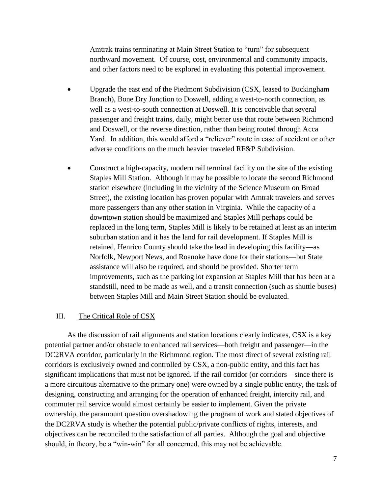Amtrak trains terminating at Main Street Station to "turn" for subsequent northward movement. Of course, cost, environmental and community impacts, and other factors need to be explored in evaluating this potential improvement.

- Upgrade the east end of the Piedmont Subdivision (CSX, leased to Buckingham Branch), Bone Dry Junction to Doswell, adding a west-to-north connection, as well as a west-to-south connection at Doswell. It is conceivable that several passenger and freight trains, daily, might better use that route between Richmond and Doswell, or the reverse direction, rather than being routed through Acca Yard. In addition, this would afford a "reliever" route in case of accident or other adverse conditions on the much heavier traveled RF&P Subdivision.
- Construct a high-capacity, modern rail terminal facility on the site of the existing Staples Mill Station. Although it may be possible to locate the second Richmond station elsewhere (including in the vicinity of the Science Museum on Broad Street), the existing location has proven popular with Amtrak travelers and serves more passengers than any other station in Virginia. While the capacity of a downtown station should be maximized and Staples Mill perhaps could be replaced in the long term, Staples Mill is likely to be retained at least as an interim suburban station and it has the land for rail development. If Staples Mill is retained, Henrico County should take the lead in developing this facility—as Norfolk, Newport News, and Roanoke have done for their stations—but State assistance will also be required, and should be provided. Shorter term improvements, such as the parking lot expansion at Staples Mill that has been at a standstill, need to be made as well, and a transit connection (such as shuttle buses) between Staples Mill and Main Street Station should be evaluated.

### III. The Critical Role of CSX

As the discussion of rail alignments and station locations clearly indicates, CSX is a key potential partner and/or obstacle to enhanced rail services—both freight and passenger—in the DC2RVA corridor, particularly in the Richmond region. The most direct of several existing rail corridors is exclusively owned and controlled by CSX, a non-public entity, and this fact has significant implications that must not be ignored. If the rail corridor (or corridors – since there is a more circuitous alternative to the primary one) were owned by a single public entity, the task of designing, constructing and arranging for the operation of enhanced freight, intercity rail, and commuter rail service would almost certainly be easier to implement. Given the private ownership, the paramount question overshadowing the program of work and stated objectives of the DC2RVA study is whether the potential public/private conflicts of rights, interests, and objectives can be reconciled to the satisfaction of all parties. Although the goal and objective should, in theory, be a "win-win" for all concerned, this may not be achievable.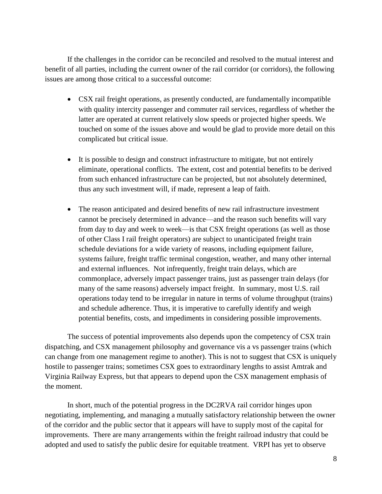If the challenges in the corridor can be reconciled and resolved to the mutual interest and benefit of all parties, including the current owner of the rail corridor (or corridors), the following issues are among those critical to a successful outcome:

- CSX rail freight operations, as presently conducted, are fundamentally incompatible with quality intercity passenger and commuter rail services, regardless of whether the latter are operated at current relatively slow speeds or projected higher speeds. We touched on some of the issues above and would be glad to provide more detail on this complicated but critical issue.
- It is possible to design and construct infrastructure to mitigate, but not entirely eliminate, operational conflicts. The extent, cost and potential benefits to be derived from such enhanced infrastructure can be projected, but not absolutely determined, thus any such investment will, if made, represent a leap of faith.
- The reason anticipated and desired benefits of new rail infrastructure investment cannot be precisely determined in advance—and the reason such benefits will vary from day to day and week to week—is that CSX freight operations (as well as those of other Class I rail freight operators) are subject to unanticipated freight train schedule deviations for a wide variety of reasons, including equipment failure, systems failure, freight traffic terminal congestion, weather, and many other internal and external influences. Not infrequently, freight train delays, which are commonplace, adversely impact passenger trains, just as passenger train delays (for many of the same reasons) adversely impact freight. In summary, most U.S. rail operations today tend to be irregular in nature in terms of volume throughput (trains) and schedule adherence. Thus, it is imperative to carefully identify and weigh potential benefits, costs, and impediments in considering possible improvements.

The success of potential improvements also depends upon the competency of CSX train dispatching, and CSX management philosophy and governance vis a vs passenger trains (which can change from one management regime to another). This is not to suggest that CSX is uniquely hostile to passenger trains; sometimes CSX goes to extraordinary lengths to assist Amtrak and Virginia Railway Express, but that appears to depend upon the CSX management emphasis of the moment.

In short, much of the potential progress in the DC2RVA rail corridor hinges upon negotiating, implementing, and managing a mutually satisfactory relationship between the owner of the corridor and the public sector that it appears will have to supply most of the capital for improvements. There are many arrangements within the freight railroad industry that could be adopted and used to satisfy the public desire for equitable treatment. VRPI has yet to observe